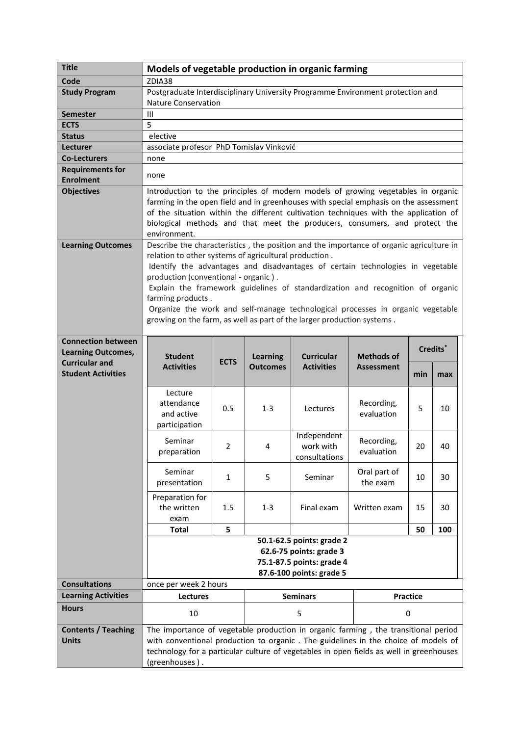| <b>Title</b>                                           | Models of vegetable production in organic farming                                                                                                                                                                                                                                                                                                                                                                                                                                                                                             |                |                 |                                           |                          |                      |     |
|--------------------------------------------------------|-----------------------------------------------------------------------------------------------------------------------------------------------------------------------------------------------------------------------------------------------------------------------------------------------------------------------------------------------------------------------------------------------------------------------------------------------------------------------------------------------------------------------------------------------|----------------|-----------------|-------------------------------------------|--------------------------|----------------------|-----|
| Code                                                   | ZDIA38                                                                                                                                                                                                                                                                                                                                                                                                                                                                                                                                        |                |                 |                                           |                          |                      |     |
| <b>Study Program</b>                                   | Postgraduate Interdisciplinary University Programme Environment protection and<br><b>Nature Conservation</b>                                                                                                                                                                                                                                                                                                                                                                                                                                  |                |                 |                                           |                          |                      |     |
| Semester                                               | III                                                                                                                                                                                                                                                                                                                                                                                                                                                                                                                                           |                |                 |                                           |                          |                      |     |
| <b>ECTS</b>                                            | 5                                                                                                                                                                                                                                                                                                                                                                                                                                                                                                                                             |                |                 |                                           |                          |                      |     |
| <b>Status</b>                                          | elective                                                                                                                                                                                                                                                                                                                                                                                                                                                                                                                                      |                |                 |                                           |                          |                      |     |
| <b>Lecturer</b>                                        | associate profesor PhD Tomislav Vinković                                                                                                                                                                                                                                                                                                                                                                                                                                                                                                      |                |                 |                                           |                          |                      |     |
| <b>Co-Lecturers</b>                                    | none                                                                                                                                                                                                                                                                                                                                                                                                                                                                                                                                          |                |                 |                                           |                          |                      |     |
| <b>Requirements for</b><br><b>Enrolment</b>            | none                                                                                                                                                                                                                                                                                                                                                                                                                                                                                                                                          |                |                 |                                           |                          |                      |     |
| <b>Objectives</b>                                      | Introduction to the principles of modern models of growing vegetables in organic<br>farming in the open field and in greenhouses with special emphasis on the assessment<br>of the situation within the different cultivation techniques with the application of<br>biological methods and that meet the producers, consumers, and protect the<br>environment.                                                                                                                                                                                |                |                 |                                           |                          |                      |     |
| <b>Learning Outcomes</b>                               | Describe the characteristics, the position and the importance of organic agriculture in<br>relation to other systems of agricultural production.<br>Identify the advantages and disadvantages of certain technologies in vegetable<br>production (conventional - organic).<br>Explain the framework guidelines of standardization and recognition of organic<br>farming products.<br>Organize the work and self-manage technological processes in organic vegetable<br>growing on the farm, as well as part of the larger production systems. |                |                 |                                           |                          |                      |     |
| <b>Connection between</b><br><b>Learning Outcomes,</b> | <b>Student</b>                                                                                                                                                                                                                                                                                                                                                                                                                                                                                                                                |                | <b>Learning</b> | <b>Curricular</b>                         | <b>Methods of</b>        | Credits <sup>*</sup> |     |
| <b>Curricular and</b><br><b>Student Activities</b>     | <b>Activities</b>                                                                                                                                                                                                                                                                                                                                                                                                                                                                                                                             | <b>ECTS</b>    | <b>Outcomes</b> | <b>Activities</b>                         | <b>Assessment</b>        | min                  | max |
|                                                        | Lecture<br>attendance<br>and active<br>participation                                                                                                                                                                                                                                                                                                                                                                                                                                                                                          | 0.5            | $1 - 3$         | Lectures                                  | Recording,<br>evaluation | 5                    | 10  |
|                                                        | Seminar<br>preparation                                                                                                                                                                                                                                                                                                                                                                                                                                                                                                                        | $\overline{2}$ | 4               | Independent<br>work with<br>consultations | Recording,<br>evaluation | 20                   | 40  |
|                                                        | Seminar<br>presentation                                                                                                                                                                                                                                                                                                                                                                                                                                                                                                                       | 1              | 5               | Seminar                                   | Oral part of<br>the exam | 10                   | 30  |
|                                                        | Preparation for<br>the written<br>exam                                                                                                                                                                                                                                                                                                                                                                                                                                                                                                        | $1.5\,$        | $1 - 3$         | Final exam                                | Written exam             | 15                   | 30  |
|                                                        | <b>Total</b>                                                                                                                                                                                                                                                                                                                                                                                                                                                                                                                                  | 5              |                 |                                           |                          | 50                   | 100 |
|                                                        | 50.1-62.5 points: grade 2<br>62.6-75 points: grade 3<br>75.1-87.5 points: grade 4<br>87.6-100 points: grade 5                                                                                                                                                                                                                                                                                                                                                                                                                                 |                |                 |                                           |                          |                      |     |
| <b>Consultations</b>                                   | once per week 2 hours                                                                                                                                                                                                                                                                                                                                                                                                                                                                                                                         |                |                 |                                           |                          |                      |     |
| <b>Learning Activities</b>                             | <b>Lectures</b>                                                                                                                                                                                                                                                                                                                                                                                                                                                                                                                               |                | <b>Seminars</b> |                                           | Practice                 |                      |     |
| <b>Hours</b>                                           | 10                                                                                                                                                                                                                                                                                                                                                                                                                                                                                                                                            |                | 5               |                                           | $\mathbf 0$              |                      |     |
| <b>Contents / Teaching</b><br><b>Units</b>             | The importance of vegetable production in organic farming, the transitional period<br>with conventional production to organic. The guidelines in the choice of models of<br>technology for a particular culture of vegetables in open fields as well in greenhouses<br>(greenhouses).                                                                                                                                                                                                                                                         |                |                 |                                           |                          |                      |     |